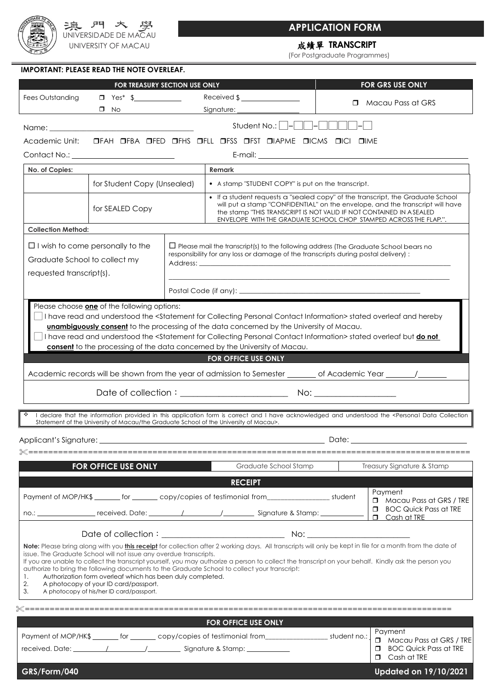

## **APPLICATION FORM**

# 成績單 **TRANSCRIPT**

(For Postgraduate Programmes)

### **IMPORTANT: PLEASE READ THE NOTE OVERLEAF.**

|                                                                                                      | FOR TREASURY SECTION USE ONLY                                                                                                                                                                                         |  |                                                                                                                                                                                                                                                                                                                                                                                                                     |       | FOR GRS USE ONLY                                                                                          |
|------------------------------------------------------------------------------------------------------|-----------------------------------------------------------------------------------------------------------------------------------------------------------------------------------------------------------------------|--|---------------------------------------------------------------------------------------------------------------------------------------------------------------------------------------------------------------------------------------------------------------------------------------------------------------------------------------------------------------------------------------------------------------------|-------|-----------------------------------------------------------------------------------------------------------|
| Fees Outstanding                                                                                     | $\Box$ Yes* \$                                                                                                                                                                                                        |  | Received $\frac{1}{2}$ $\frac{1}{2}$ $\frac{1}{2}$ $\frac{1}{2}$ $\frac{1}{2}$ $\frac{1}{2}$ $\frac{1}{2}$ $\frac{1}{2}$ $\frac{1}{2}$ $\frac{1}{2}$ $\frac{1}{2}$ $\frac{1}{2}$ $\frac{1}{2}$ $\frac{1}{2}$ $\frac{1}{2}$ $\frac{1}{2}$ $\frac{1}{2}$ $\frac{1}{2}$ $\frac{1}{2}$ $\frac{1}{2}$ $\frac{1}{2}$ $\$                                                                                                  |       |                                                                                                           |
|                                                                                                      | $\Box$ No $\Box$                                                                                                                                                                                                      |  | Signature: ____________                                                                                                                                                                                                                                                                                                                                                                                             |       | $\Box$ Macau Pass at GRS                                                                                  |
| Name:                                                                                                | the control of the control of the control of the control of the control of                                                                                                                                            |  | Student No.: $ - $<br>- 11 - 1-1                                                                                                                                                                                                                                                                                                                                                                                    |       |                                                                                                           |
| Academic Unit:                                                                                       |                                                                                                                                                                                                                       |  | OFAH OFBA OFED OFHS OFLL OFSS OFST OIAPME OICMS OICI OIME                                                                                                                                                                                                                                                                                                                                                           |       |                                                                                                           |
|                                                                                                      |                                                                                                                                                                                                                       |  |                                                                                                                                                                                                                                                                                                                                                                                                                     |       |                                                                                                           |
| No. of Copies:                                                                                       |                                                                                                                                                                                                                       |  | Remark                                                                                                                                                                                                                                                                                                                                                                                                              |       |                                                                                                           |
|                                                                                                      | for Student Copy (Unsealed)                                                                                                                                                                                           |  | • A stamp "STUDENT COPY" is put on the transcript.                                                                                                                                                                                                                                                                                                                                                                  |       |                                                                                                           |
|                                                                                                      | for SEALED Copy                                                                                                                                                                                                       |  | • If a student requests a "sealed copy" of the transcript, the Graduate School<br>will put a stamp "CONFIDENTIAL" on the envelope, and the transcript will have<br>the stamp "THIS TRANSCRIPT IS NOT VALID IF NOT CONTAINED IN ASEALED<br>ENVELOPE WITH THE GRADUATE SCHOOL CHOP STAMPED ACROSS THE FLAP.".                                                                                                         |       |                                                                                                           |
| <b>Collection Method:</b>                                                                            |                                                                                                                                                                                                                       |  |                                                                                                                                                                                                                                                                                                                                                                                                                     |       |                                                                                                           |
| $\Box$ I wish to come personally to the<br>Graduate School to collect my<br>requested transcript(s). |                                                                                                                                                                                                                       |  | $\Box$ Please mail the transcript(s) to the following address (The Graduate School bears no<br>responsibility for any loss or damage of the transcripts during postal delivery):                                                                                                                                                                                                                                    |       |                                                                                                           |
|                                                                                                      |                                                                                                                                                                                                                       |  |                                                                                                                                                                                                                                                                                                                                                                                                                     |       |                                                                                                           |
|                                                                                                      |                                                                                                                                                                                                                       |  | consent to the processing of the data concerned by the University of Macau.<br>FOR OFFICE USE ONLY<br>Academic records will be shown from the year of admission to Semester ________ of Academic Year ______/______<br>I declare that the information provided in this application form is correct and I have acknowledged and understood the <personal collection<="" data="" td=""><td></td><td></td></personal>  |       |                                                                                                           |
|                                                                                                      | Statement of the University of Macau/the Graduate School of the University of Macau>.                                                                                                                                 |  |                                                                                                                                                                                                                                                                                                                                                                                                                     |       |                                                                                                           |
| Applicant's Signature:                                                                               |                                                                                                                                                                                                                       |  |                                                                                                                                                                                                                                                                                                                                                                                                                     | Date: |                                                                                                           |
|                                                                                                      | <b>FOR OFFICE USE ONLY</b>                                                                                                                                                                                            |  | Graduate School Stamp                                                                                                                                                                                                                                                                                                                                                                                               |       | Treasury Signature & Stamp                                                                                |
|                                                                                                      |                                                                                                                                                                                                                       |  |                                                                                                                                                                                                                                                                                                                                                                                                                     |       |                                                                                                           |
|                                                                                                      |                                                                                                                                                                                                                       |  | <b>RECEIPT</b>                                                                                                                                                                                                                                                                                                                                                                                                      |       | Payment                                                                                                   |
|                                                                                                      |                                                                                                                                                                                                                       |  | Payment of MOP/HK\$ _______ for _______ copy/copies of testimonial from__________________ student<br>no.: received. Date: 1 1 1 5ignature & Stamp:                                                                                                                                                                                                                                                                  |       | $\Box$ Macau Pass at GRS / TRE<br><b>D</b> BOC Quick Pass at TRE<br>$\Box$ Cash at TRE                    |
|                                                                                                      |                                                                                                                                                                                                                       |  |                                                                                                                                                                                                                                                                                                                                                                                                                     |       |                                                                                                           |
| 1.<br>2.<br>3.                                                                                       | issue. The Graduate School will not issue any overdue transcripts.<br>Authorization form overleaf which has been duly completed.<br>A photocopy of your ID card/passport.<br>A photocopy of his/her ID card/passport. |  | Note: Please bring along with you this receipt for collection after 2 working days. All transcripts will only be kept in file for a month from the date of<br>If you are unable to collect the transcript yourself, you may authorize a person to collect the transcript on your behalf. Kindly ask the person you<br>authorize to bring the following documents to the Graduate School to collect your transcript: |       |                                                                                                           |
|                                                                                                      |                                                                                                                                                                                                                       |  |                                                                                                                                                                                                                                                                                                                                                                                                                     |       |                                                                                                           |
|                                                                                                      |                                                                                                                                                                                                                       |  | FOR OFFICE USE ONLY                                                                                                                                                                                                                                                                                                                                                                                                 |       |                                                                                                           |
|                                                                                                      |                                                                                                                                                                                                                       |  | Payment of MOP/HK\$ ______ for ______ copy/copies of testimonial from___________________ student no.:                                                                                                                                                                                                                                                                                                               |       | Payment<br>$\Box$ Macau Pass at GRS / TRE<br><b>BOC Quick Pass at TRE</b><br>$\Box$<br>$\Box$ Cash at TRE |